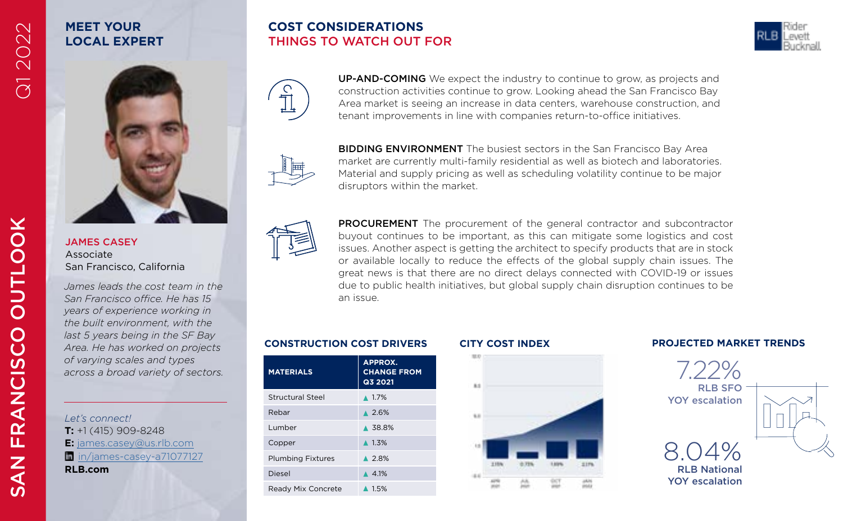## **MEET YOUR LOCAL EXPERT**

### **COST CONSIDERATIONS** THINGS TO WATCH OUT FOR





UP-AND-COMING We expect the industry to continue to grow, as projects and construction activities continue to grow. Looking ahead the San Francisco Bay Area market is seeing an increase in data centers, warehouse construction, and tenant improvements in line with companies return-to-office initiatives.



**BIDDING ENVIRONMENT** The busiest sectors in the San Francisco Bay Area market are currently multi-family residential as well as biotech and laboratories. Material and supply pricing as well as scheduling volatility continue to be major disruptors within the market.



PROCUREMENT The procurement of the general contractor and subcontractor buyout continues to be important, as this can mitigate some logistics and cost issues. Another aspect is getting the architect to specify products that are in stock or available locally to reduce the effects of the global supply chain issues. The great news is that there are no direct delays connected with COVID-19 or issues due to public health initiatives, but global supply chain disruption continues to be an issue.

### **CONSTRUCTION COST DRIVERS CITY COST INDEX PROJECTED MARKET TRENDS**

| <b>MATERIALS</b>          | <b>APPROX.</b><br><b>CHANGE FROM</b><br>Q3 2021 |
|---------------------------|-------------------------------------------------|
| <b>Structural Steel</b>   | $\triangle$ 1.7%                                |
| Rebar                     | $\triangle 2.6\%$                               |
| Lumber                    | ▲ 38.8%                                         |
| Copper                    | $\triangle$ 1.3%                                |
| <b>Plumbing Fixtures</b>  | $\triangle$ 2.8%                                |
| Diesel                    | $\triangle$ 4.1%                                |
| <b>Ready Mix Concrete</b> | $\triangle$ 1.5%                                |

n.

5.0





YOY escalation

# SAN FRANCISCO OUTLOOK **OUTLOOK** FRANCISCO **NAS**

JAMES CASEY Associate San Francisco, California

*James leads the cost team in the San Francisco office. He has 15 years of experience working in the built environment, with the last 5 years being in the SF Bay Area. He has worked on projects of varying scales and types across a broad variety of sectors.* 

*Let's connect!* **T:** +1 (415) 909-8248 **E:** [james.casey@us.rlb.com](mailto:james.casey%40us.rlb.com?subject=) [in/james-casey-a71077127](http://linkedin.com/in/james-casey-a71077127) **RLB.com**

Q1 2022